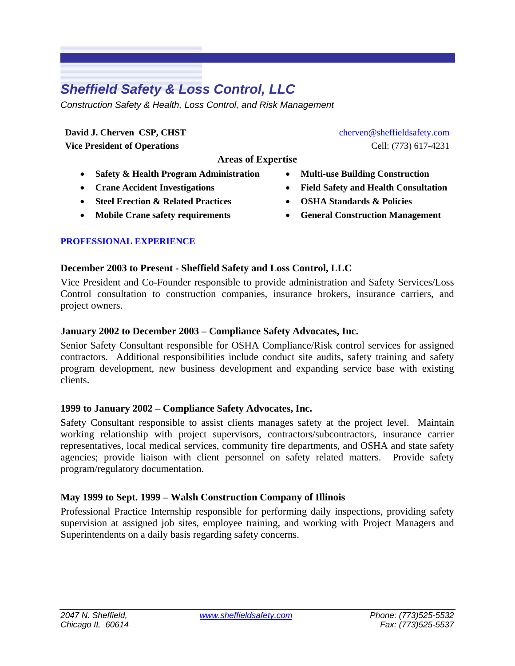# *Sheffield Safety & Loss Control, LLC*

*Construction Safety & Health, Loss Control, and Risk Management* 

**David J. Cherven CSP, CHST Vice President of Operations**

**Areas of Expertise** 

- **Safety & Health Program Administration**
- **Crane Accident Investigations**
- **Steel Erection & Related Practices**
- **Mobile Crane safety requirements**

# **PROFESSIONAL EXPERIENCE**

# **December 2003 to Present - Sheffield Safety and Loss Control, LLC**

Vice President and Co-Founder responsible to provide administration and Safety Services/Loss Control consultation to construction companies, insurance brokers, insurance carriers, and project owners.

#### **January 2002 to December 2003 – Compliance Safety Advocates, Inc.**

Senior Safety Consultant responsible for OSHA Compliance/Risk control services for assigned contractors. Additional responsibilities include conduct site audits, safety training and safety program development, new business development and expanding service base with existing clients.

# **1999 to January 2002 – Compliance Safety Advocates, Inc.**

Safety Consultant responsible to assist clients manages safety at the project level. Maintain working relationship with project supervisors, contractors/subcontractors, insurance carrier representatives, local medical services, community fire departments, and OSHA and state safety agencies; provide liaison with client personnel on safety related matters. Provide safety program/regulatory documentation.

# **May 1999 to Sept. 1999 – Walsh Construction Company of Illinois**

Professional Practice Internship responsible for performing daily inspections, providing safety supervision at assigned job sites, employee training, and working with Project Managers and Superintendents on a daily basis regarding safety concerns.

- cherven@sheffieldsafety.com Cell: (773) 617-4231
- **Multi-use Building Construction**
- **Field Safety and Health Consultation**
- **OSHA Standards & Policies**
- **General Construction Management**